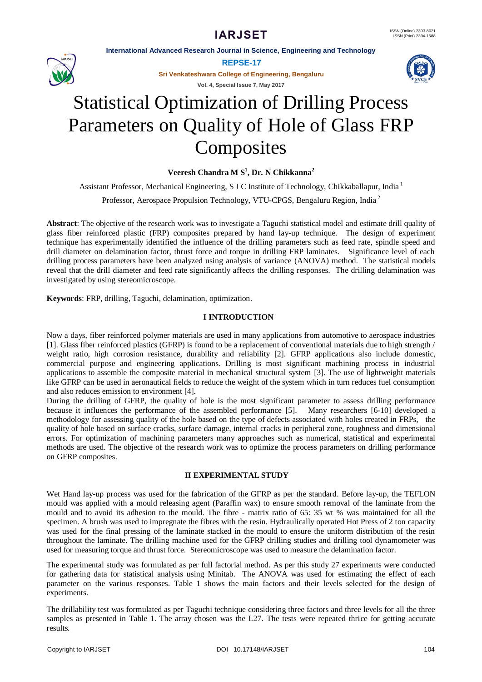**International Advanced Research Journal in Science, Engineering and Technology**



**REPSE-17**

**Sri Venkateshwara College of Engineering, Bengaluru**

**Vol. 4, Special Issue 7, May 2017**



# Statistical Optimization of Drilling Process Parameters on Quality of Hole of Glass FRP **Composites**

# **Veeresh Chandra M S<sup>1</sup> , Dr. N Chikkanna<sup>2</sup>**

Assistant Professor, Mechanical Engineering, S J C Institute of Technology, Chikkaballapur, India <sup>1</sup>

Professor, Aerospace Propulsion Technology, VTU-CPGS, Bengaluru Region, India <sup>2</sup>

**Abstract**: The objective of the research work was to investigate a Taguchi statistical model and estimate drill quality of glass fiber reinforced plastic (FRP) composites prepared by hand lay-up technique. The design of experiment technique has experimentally identified the influence of the drilling parameters such as feed rate, spindle speed and drill diameter on delamination factor, thrust force and torque in drilling FRP laminates. Significance level of each drilling process parameters have been analyzed using analysis of variance (ANOVA) method. The statistical models reveal that the drill diameter and feed rate significantly affects the drilling responses. The drilling delamination was investigated by using stereomicroscope.

**Keywords**: FRP, drilling, Taguchi, delamination, optimization.

# **I INTRODUCTION**

Now a days, fiber reinforced polymer materials are used in many applications from automotive to aerospace industries [1]. Glass fiber reinforced plastics (GFRP) is found to be a replacement of conventional materials due to high strength / weight ratio, high corrosion resistance, durability and reliability [2]. GFRP applications also include domestic, commercial purpose and engineering applications. Drilling is most significant machining process in industrial applications to assemble the composite material in mechanical structural system [3]. The use of lightweight materials like GFRP can be used in aeronautical fields to reduce the weight of the system which in turn reduces fuel consumption and also reduces emission to environment [4].

During the drilling of GFRP, the quality of hole is the most significant parameter to assess drilling performance because it influences the performance of the assembled performance [5]. Many researchers [6-10] developed a methodology for assessing quality of the hole based on the type of defects associated with holes created in FRPs, the quality of hole based on surface cracks, surface damage, internal cracks in peripheral zone, roughness and dimensional errors. For optimization of machining parameters many approaches such as numerical, statistical and experimental methods are used. The objective of the research work was to optimize the process parameters on drilling performance on GFRP composites.

### **II EXPERIMENTAL STUDY**

Wet Hand lay-up process was used for the fabrication of the GFRP as per the standard. Before lay-up, the TEFLON mould was applied with a mould releasing agent (Paraffin wax) to ensure smooth removal of the laminate from the mould and to avoid its adhesion to the mould. The fibre - matrix ratio of 65: 35 wt % was maintained for all the specimen. A brush was used to impregnate the fibres with the resin. Hydraulically operated Hot Press of 2 ton capacity was used for the final pressing of the laminate stacked in the mould to ensure the uniform distribution of the resin throughout the laminate. The drilling machine used for the GFRP drilling studies and drilling tool dynamometer was used for measuring torque and thrust force. Stereomicroscope was used to measure the delamination factor.

The experimental study was formulated as per full factorial method. As per this study 27 experiments were conducted for gathering data for statistical analysis using Minitab. The ANOVA was used for estimating the effect of each parameter on the various responses. Table 1 shows the main factors and their levels selected for the design of experiments.

The drillability test was formulated as per Taguchi technique considering three factors and three levels for all the three samples as presented in Table 1. The array chosen was the L27. The tests were repeated thrice for getting accurate results.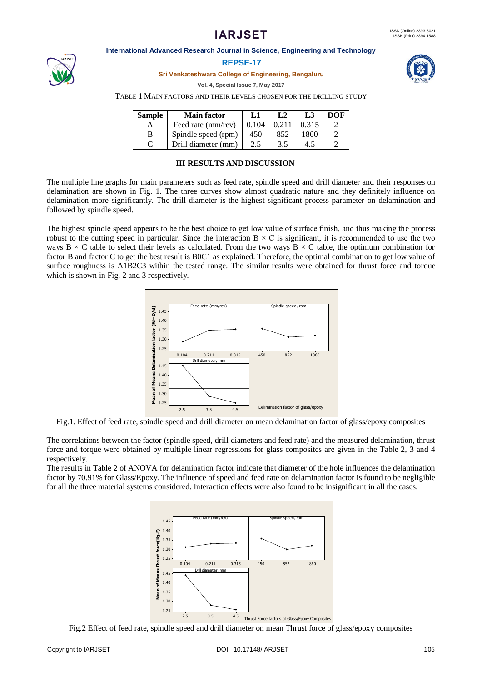#### **International Advanced Research Journal in Science, Engineering and Technology**



#### **REPSE-17**

**Sri Venkateshwara College of Engineering, Bengaluru**

**Vol. 4, Special Issue 7, May 2017**



TABLE 1 MAIN FACTORS AND THEIR LEVELS CHOSEN FOR THE DRILLING STUDY

| Sample | <b>Main factor</b>  | L1    | L2  | L3    | DOF |
|--------|---------------------|-------|-----|-------|-----|
|        | Feed rate (mm/rev)  | 0.104 |     | 0.315 |     |
| В      | Spindle speed (rpm) | 450   | 852 | 1860  |     |
|        | Drill diameter (mm) | 2.5   | 3.5 | 4.5   |     |

### **III RESULTS AND DISCUSSION**

The multiple line graphs for main parameters such as feed rate, spindle speed and drill diameter and their responses on delamination are shown in Fig. 1. The three curves show almost quadratic nature and they definitely influence on delamination more significantly. The drill diameter is the highest significant process parameter on delamination and followed by spindle speed.

The highest spindle speed appears to be the best choice to get low value of surface finish, and thus making the process robust to the cutting speed in particular. Since the interaction  $B \times C$  is significant, it is recommended to use the two ways B  $\times$  C table to select their levels as calculated. From the two ways B  $\times$  C table, the optimum combination for factor B and factor C to get the best result is B0C1 as explained. Therefore, the optimal combination to get low value of surface roughness is A1B2C3 within the tested range. The similar results were obtained for thrust force and torque which is shown in Fig. 2 and 3 respectively.



Fig.1. Effect of feed rate, spindle speed and drill diameter on mean delamination factor of glass/epoxy composites

The correlations between the factor (spindle speed, drill diameters and feed rate) and the measured delamination, thrust force and torque were obtained by multiple linear regressions for glass composites are given in the Table 2, 3 and 4 respectively.

The results in Table 2 of ANOVA for delamination factor indicate that diameter of the hole influences the delamination factor by 70.91% for Glass/Epoxy. The influence of speed and feed rate on delamination factor is found to be negligible for all the three material systems considered. Interaction effects were also found to be insignificant in all the cases.



Fig.2 Effect of feed rate, spindle speed and drill diameter on mean Thrust force of glass/epoxy composites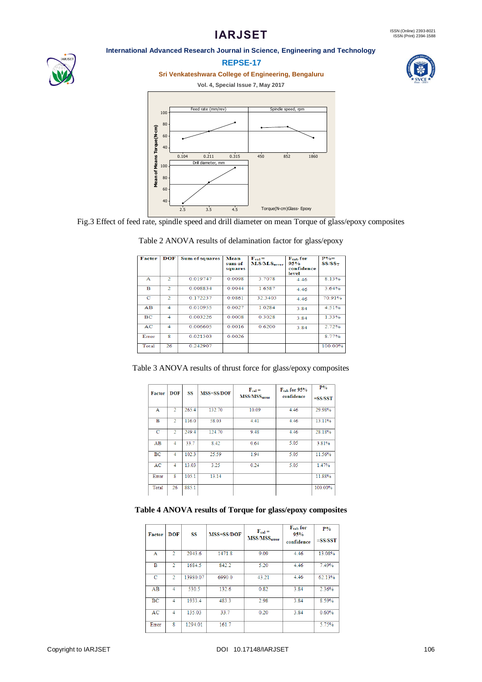#### **International Advanced Research Journal in Science, Engineering and Technology**



# **REPSE-17**

**Sri Venkateshwara College of Engineering, Bengaluru**

#### **Vol. 4, Special Issue 7, May 2017**





Fig.3 Effect of feed rate, spindle speed and drill diameter on mean Torque of glass/epoxy composites

| Factor    | <b>DOF</b>                  | <b>Sum of squares</b> | Mean    | $F_{cal} =$              | F <sub>tab</sub> for | $P\%=$      |
|-----------|-----------------------------|-----------------------|---------|--------------------------|----------------------|-------------|
|           |                             |                       | sum of  | M.S/M.S <sub>error</sub> | 95%                  | $SS/SS_{T}$ |
|           |                             |                       | squares |                          | confidence           |             |
|           |                             |                       |         |                          | level                |             |
| А         | $\mathcal{D}_{\mathcal{L}}$ | 0 0 1 9 7 4 7         | 0.0098  | 3 7078                   | 4.46                 | 8.13%       |
| в         | $\overline{2}$              | 0.008834              | 0.0044  | 1.6587                   | 4 4 6                | 3.64%       |
| c         | $\overline{2}$              | 0.172237              | 0.0861  | 32.3403                  | 4.46                 | 70 91%      |
| AB        | 4                           | 0.010955              | 0.0027  | 1.0284                   | 3.84                 | 4.51%       |
| <b>BC</b> | $\boldsymbol{A}$            | 0.003226              | 0.0008  | 0.3028                   | 3.84                 | 1.33%       |
| AC        | 4                           | 0.006605              | 0.0016  | 0.6200                   | 3.84                 | 2.72%       |
| Error     | 8                           | 0.021303              | 0.0026  |                          |                      | 8.77%       |
| Total     | 26                          | 0.242907              |         |                          |                      | 100.00%     |

#### Table 2 ANOVA results of delamination factor for glass/epoxy

|  | Table 3 ANOVA results of thrust force for glass/epoxy composites |  |
|--|------------------------------------------------------------------|--|
|  |                                                                  |  |

| <b>Factor</b> | <b>DOF</b>     | SS    | <b>MSS=SS/DOF</b> | $F_{cal}$<br>MSS/MSS <sub>error</sub> | $F_{tab}$ for 95%<br>confidence | $P\%$     |
|---------------|----------------|-------|-------------------|---------------------------------------|---------------------------------|-----------|
|               |                |       |                   |                                       |                                 | $=SS/SST$ |
| Α             | $\overline{2}$ | 265.4 | 132.70            | 10.09                                 | 4.46                            | 29.98%    |
| B             | $\overline{2}$ | 116.0 | 58.03             | 4.41                                  | 4.46                            | 13.11%    |
| с             | 2              | 249.4 | 124.70            | 9.48                                  | 4.46                            | 28.18%    |
| AB            | 4              | 33.7  | 8.42              | 0.64                                  | 5.05                            | 3.81%     |
| BC            | 4              | 102.3 | 25.59             | 1.94                                  | 5.05                            | 11.56%    |
| AC            | 4              | 13.03 | 3.25              | 0.24                                  | 5.05                            | 1.47%     |
| Error         | 8              | 105.1 | 13.14             |                                       |                                 | 11.88%    |
| Total         | 26             | 885.1 |                   |                                       |                                 | 100.00%   |

# **Table 4 ANOVA results of Torque for glass/epoxy composites**

| Factor       | <b>DOF</b>               | SS       | MSS=SS/DOF | $F_{cal}$<br>MSS/MSS <sub>error</sub> | $F_{tab}$ for<br>95%<br>confidence | $P\%$<br>$=SS/SST$ |
|--------------|--------------------------|----------|------------|---------------------------------------|------------------------------------|--------------------|
| $\mathbf{A}$ | $\overline{\mathcal{L}}$ | 2943.6   | 1471.8     | 9.09                                  | 4.46                               | 13.08%             |
| B            | $\mathcal{D}$            | 1684.5   | 842.2      | 5.20                                  | 4.46                               | 7.49%              |
| C            | $\mathcal{D}$            | 13980.07 | 6990.0     | 43.21                                 | 4.46                               | 62.13%             |
| AB           | 4                        | 530.5    | 132.6      | 0.82                                  | 3.84                               | 2.36%              |
| BC           | 4                        | 1933.4   | 483.3      | 2.98                                  | 3.84                               | 8.59%              |
| AC           | 4                        | 135.03   | 33.7       | 0.20                                  | 3.84                               | 0.60%              |
| Error        | 8                        | 1294.01  | 161.7      |                                       |                                    | 5.75%              |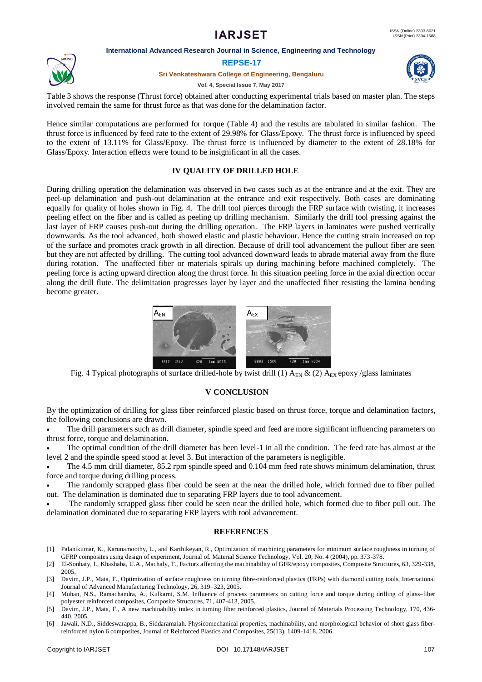#### **International Advanced Research Journal in Science, Engineering and Technology**

#### **REPSE-17**

#### **Sri Venkateshwara College of Engineering, Bengaluru**



Table 3 shows the response (Thrust force) obtained after conducting experimental trials based on master plan. The steps involved remain the same for thrust force as that was done for the delamination factor.

Hence similar computations are performed for torque (Table 4) and the results are tabulated in similar fashion. The thrust force is influenced by feed rate to the extent of 29.98% for Glass/Epoxy. The thrust force is influenced by speed to the extent of 13.11% for Glass/Epoxy. The thrust force is influenced by diameter to the extent of 28.18% for Glass/Epoxy. Interaction effects were found to be insignificant in all the cases.

# **IV QUALITY OF DRILLED HOLE**

During drilling operation the delamination was observed in two cases such as at the entrance and at the exit. They are peel-up delamination and push-out delamination at the entrance and exit respectively. Both cases are dominating equally for quality of holes shown in Fig. 4. The drill tool pierces through the FRP surface with twisting, it increases peeling effect on the fiber and is called as peeling up drilling mechanism. Similarly the drill tool pressing against the last layer of FRP causes push-out during the drilling operation. The FRP layers in laminates were pushed vertically downwards. As the tool advanced, both showed elastic and plastic behaviour. Hence the cutting strain increased on top of the surface and promotes crack growth in all direction. Because of drill tool advancement the pullout fiber are seen but they are not affected by drilling. The cutting tool advanced downward leads to abrade material away from the flute during rotation. The unaffected fiber or materials spirals up during machining before machined completely. The peeling force is acting upward direction along the thrust force. In this situation peeling force in the axial direction occur along the drill flute. The delimitation progresses layer by layer and the unaffected fiber resisting the lamina bending become greater.



Fig. 4 Typical photographs of surface drilled-hole by twist drill (1)  $A_{EN}$  & (2)  $A_{EX}$  epoxy /glass laminates

### **V CONCLUSION**

By the optimization of drilling for glass fiber reinforced plastic based on thrust force, torque and delamination factors, the following conclusions are drawn.

 The drill parameters such as drill diameter, spindle speed and feed are more significant influencing parameters on thrust force, torque and delamination.

 The optimal condition of the drill diameter has been level-1 in all the condition. The feed rate has almost at the level 2 and the spindle speed stood at level 3. But interaction of the parameters is negligible.

The 4.5 mm drill diameter, 85.2 rpm spindle speed and 0.104 mm feed rate shows minimum delamination, thrust force and torque during drilling process.

 The randomly scrapped glass fiber could be seen at the near the drilled hole, which formed due to fiber pulled out. The delamination is dominated due to separating FRP layers due to tool advancement.

 The randomly scrapped glass fiber could be seen near the drilled hole, which formed due to fiber pull out. The delamination dominated due to separating FRP layers with tool advancement.

### **REFERENCES**

- [1] Palanikumar, K., Karunamoothy, L., and Karthikeyan, R., Optimization of machining parameters for minimum surface roughness in turning of GFRP composites using design of experiment, Journal of. Material Science Technology, Vol. 20, No. 4 (2004), pp. 373-378.
- [2] El-Sonbaty, I., Khashaba, U.A., Machaly, T., Factors affecting the machinability of GFR/epoxy composites, Composite Structures, 63, 329-338, 2005.
- [3] Davim, J.P., Mata, F., Optimization of surface roughness on turning fibre-reinforced plastics (FRPs) with diamond cutting tools, International Journal of Advanced Manufacturing Technology, 26, 319–323, 2005.
- [4] Mohan, N.S., Ramachandra, A., Kulkarni, S.M. Influence of process parameters on cutting force and torque during drilling of glass–fiber polyester reinforced composites, Composite Structures, 71, 407-413, 2005.
- [5] Davim, J.P., Mata, F., A new machinability index in turning fiber reinforced plastics, Journal of Materials Processing Technology, 170, 436- 440, 2005.
- [6] Jawali, N.D., Siddeswarappa, B., Siddaramaiah. Physicomechanical properties, machinability, and morphological behavior of short glass fiber-